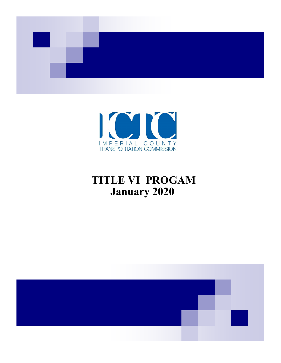



# **TITLE VI PROGAM January 2020**

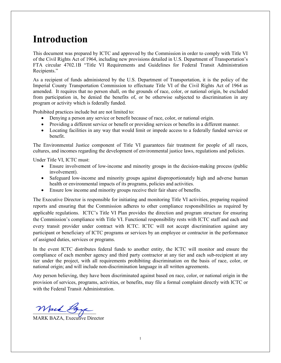### **Introduction**

This document was prepared by ICTC and approved by the Commission in order to comply with Title VI of the Civil Rights Act of 1964, including new provisions detailed in U.S. Department of Transportation's FTA circular 4702.1B "Title VI Requirements and Guidelines for Federal Transit Administration Recipients."

As a recipient of funds administered by the U.S. Department of Transportation, it is the policy of the Imperial County Transportation Commission to effectuate Title VI of the Civil Rights Act of 1964 as amended. It requires that no person shall, on the grounds of race, color, or national origin, be excluded from participation in, be denied the benefits of, or be otherwise subjected to discrimination in any program or activity which is federally funded.

Prohibited practices include but are not limited to:

- Denying a person any service or benefit because of race, color, or national origin.
- Providing a different service or benefit or providing services or benefits in a different manner.
- Locating facilities in any way that would limit or impede access to a federally funded service or benefit.

The Environmental Justice component of Title VI guarantees fair treatment for people of all races, cultures, and incomes regarding the development of environmental justice laws, regulations and policies.

Under Title VI, ICTC must:

- Ensure involvement of low-income and minority groups in the decision-making process (public involvement).
- Safeguard low-income and minority groups against disproportionately high and adverse human health or environmental impacts of its programs, policies and activities.
- Ensure low income and minority groups receive their fair share of benefits.

The Executive Director is responsible for initiating and monitoring Title VI activities, preparing required reports and ensuring that the Commission adheres to other compliance responsibilities as required by applicable regulations. ICTC's Title VI Plan provides the direction and program structure for ensuring the Commission's compliance with Title VI. Functional responsibility rests with ICTC staff and each and every transit provider under contract with ICTC. ICTC will not accept discrimination against any participant or beneficiary of ICTC programs or services by an employee or contractor in the performance of assigned duties, services or programs.

In the event ICTC distributes federal funds to another entity, the ICTC will monitor and ensure the compliance of each member agency and third party contractor at any tier and each sub-recipient at any tier under the project, with all requirements prohibiting discrimination on the basis of race, color, or national origin; and will include non-discrimination language in all written agreements.

Any person believing, they have been discriminated against based on race, color, or national origin in the provision of services, programs, activities, or benefits, may file a formal complaint directly with ICTC or with the Federal Transit Administration.

 $M$ ack 13

MARK BAZA, Executive Director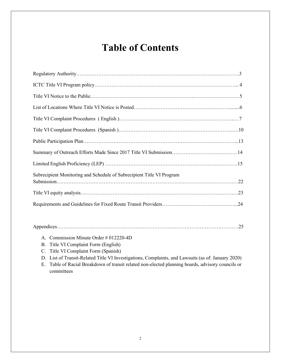# **Table of Contents**

| Subrecipient Monitoring and Schedule of Subrecipient Title VI Program |
|-----------------------------------------------------------------------|
|                                                                       |
|                                                                       |
|                                                                       |

- A. Commission Minute Order # 012220-4D
- B. Title VI Complaint Form (English)
- C. Title VI Complaint Form (Spanish)
- D. List of Transit-Related Title VI Investigations, Complaints, and Lawsuits (as of: January 2020)

E. Table of Racial Breakdown of transit related non-elected planning boards, advisory councils or committees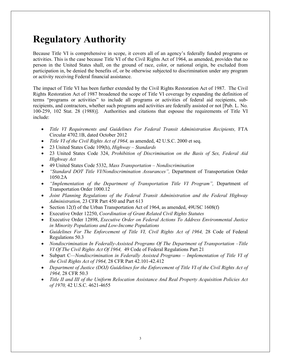## **Regulatory Authority**

Because Title VI is comprehensive in scope, it covers all of an agency's federally funded programs or activities. This is the case because Title VI of the Civil Rights Act of 1964, as amended, provides that no person in the United States shall, on the ground of race, color, or national origin, be excluded from participation in, be denied the benefits of, or be otherwise subjected to discrimination under any program or activity receiving Federal financial assistance.

The impact of Title VI has been further extended by the Civil Rights Restoration Act of 1987. The Civil Rights Restoration Act of 1987 broadened the scope of Title VI coverage by expanding the definition of terms "programs or activities" to include all programs or activities of federal aid recipients, subrecipients, and contractors, whether such programs and activities are federally assisted or not [Pub. L. No. 100-259, 102 Stat. 28 (1988)]. Authorities and citations that espouse the requirements of Title VI include:

- *Title VI Requirements and Guidelines For Federal Transit Administration Recipients,* FTA Circular 4702.1B, dated October 2012
- *Title VI of the Civil Rights Act of 1964,* as amended, 42 U.S.C. 2000 et seq.
- 23 United States Code 109(h), *Highway – Standards*
- 23 United States Code 324, *Prohibition of Discrimination on the Basis of Sex, Federal Aid Highway Act*
- 49 United States Code 5332, *Mass Transportation – Nondiscrimination*
- *"Standard DOT Title VI/Nondiscrimination Assurances",* Department of Transportation Order 1050.2A
- *"Implementation of the Department of Transportation Title VI Program",* Department of Transportation Order 1000.12
- *Joint Planning Regulations of the Federal Transit Administration and the Federal Highway Administration,* 23 CFR Part 450 and Part 613
- Section 12(f) of the Urban Transportation Act of 1964, as amended, 49USC 1608(f)
- Executive Order 12250, *Coordination of Grant Related Civil Rights Statutes*
- Executive Order 12898, *Executive Order on Federal Actions To Address Environmental Justice in Minority Populations and Low-Income Populations*
- *Guidelines For The Enforcement of Title VI, Civil Rights Act of 1964, 28 Code of Federal* Regulations 50.3
- *Nondiscrimination In Federally-Assisted Programs Of The Department of Transportation –Title VI Of The Civil Rights Act Of 1964,* 49 Code of Federal Regulations Part 21
- Subpart C*—Nondiscrimination in Federally Assisted Programs – Implementation of Title VI of the Civil Rights Act of 1964,* 28 CFR Part 42.101-42.412
- *Department of Justice (DOJ) Guidelines for the Enforcement of Title VI of the Civil Rights Act of 1964,* 28 CFR 50.3
- *Title II and III of the Uniform Relocation Assistance And Real Property Acquisition Policies Act of 1970,* 42 U.S.C. 4621-4655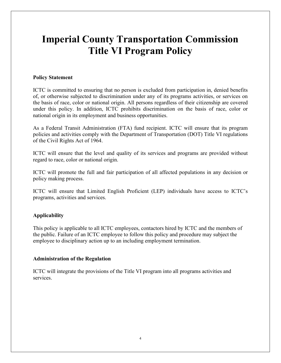# **Imperial County Transportation Commission Title VI Program Policy**

### **Policy Statement**

ICTC is committed to ensuring that no person is excluded from participation in, denied benefits of, or otherwise subjected to discrimination under any of its programs activities, or services on the basis of race, color or national origin. All persons regardless of their citizenship are covered under this policy. In addition, ICTC prohibits discrimination on the basis of race, color or national origin in its employment and business opportunities.

As a Federal Transit Administration (FTA) fund recipient. ICTC will ensure that its program policies and activities comply with the Department of Transportation (DOT) Title VI regulations of the Civil Rights Act of 1964.

ICTC will ensure that the level and quality of its services and programs are provided without regard to race, color or national origin.

ICTC will promote the full and fair participation of all affected populations in any decision or policy making process.

ICTC will ensure that Limited English Proficient (LEP) individuals have access to ICTC's programs, activities and services.

### **Applicability**

This policy is applicable to all ICTC employees, contactors hired by ICTC and the members of the public. Failure of an ICTC employee to follow this policy and procedure may subject the employee to disciplinary action up to an including employment termination.

### **Administration of the Regulation**

ICTC will integrate the provisions of the Title VI program into all programs activities and services.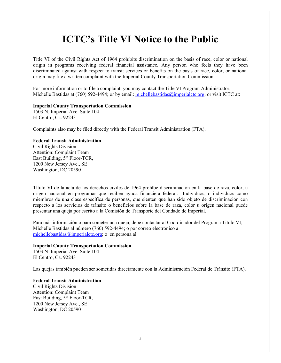### **ICTC's Title VI Notice to the Public**

Title VI of the Civil Rights Act of 1964 prohibits discrimination on the basis of race, color or national origin in programs receiving federal financial assistance. Any person who feels they have been discriminated against with respect to transit services or benefits on the basis of race, color, or national origin may file a written complaint with the Imperial County Transportation Commission.

For more information or to file a complaint, you may contact the Title VI Program Administrator, Michelle Bastidas at (760) 592-4494; or by email: [michellebastidas@imperialctc.org;](mailto:michellebastidas@imperialctc.org) or visit ICTC at:

#### **Imperial County Transportation Commission**

1503 N. Imperial Ave. Suite 104 El Centro, Ca. 92243

Complaints also may be filed directly with the Federal Transit Administration (FTA).

#### **Federal Transit Administration**

Civil Rights Division Attention: Complaint Team East Building,  $5<sup>th</sup>$  Floor-TCR, 1200 New Jersey Ave., SE Washington, DC 20590

Título VI de la acta de los derechos civiles de 1964 prohíbe discriminación en la base de raza, color, u origen nacional en programas que reciben ayuda financiera federal. Individuos, o individuos como miembros de una clase específica de personas, que sienten que han sido objeto de discriminación con respecto a los servicios de tránsito o beneficios sobre la base de raza, color u origen nacional puede presentar una queja por escrito a la Comisión de Transporte del Condado de Imperial.

Para más información o para someter una queja, debe contactar al Coordinador del Programa Titulo VI, Michelle Bastidas al número (760) 592-4494; o por correo electrónico a [michellebastidas@imperialctc.org;](mailto:michellebastidas@imperialctc.org) o en persona al:

### **Imperial County Transportation Commission**

1503 N. Imperial Ave. Suite 104 El Centro, Ca. 92243

Las quejas también pueden ser sometidas directamente con la Administración Federal de Tránsito (FTA).

#### **Federal Transit Administration** Civil Rights Division Attention: Complaint Team East Building,  $\hat{5}^{th}$  Floor-TCR, 1200 New Jersey Ave., SE Washington, DC 20590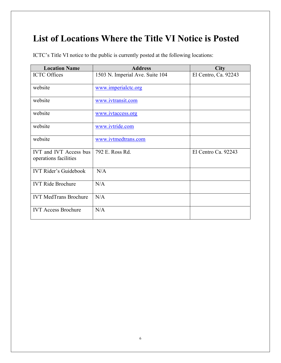## **List of Locations Where the Title VI Notice is Posted**

ICTC's Title VI notice to the public is currently posted at the following locations:

| <b>Location Name</b>                                   | <b>Address</b>                  | <b>City</b>          |
|--------------------------------------------------------|---------------------------------|----------------------|
| <b>ICTC</b> Offices                                    | 1503 N. Imperial Ave. Suite 104 | El Centro, Ca. 92243 |
| website                                                | www.imperialctc.org             |                      |
| website                                                | www.ivtransit.com               |                      |
| website                                                | www.ivtaccess.org               |                      |
| website                                                | www.ivtride.com                 |                      |
| website                                                | www.ivtmedtrans.com             |                      |
| <b>IVT and IVT Access bus</b><br>operations facilities | 792 E. Ross Rd.                 | El Centro Ca. 92243  |
| <b>IVT Rider's Guidebook</b>                           | N/A                             |                      |
| <b>IVT Ride Brochure</b>                               | N/A                             |                      |
| <b>IVT MedTrans Brochure</b>                           | N/A                             |                      |
| <b>IVT Access Brochure</b>                             | N/A                             |                      |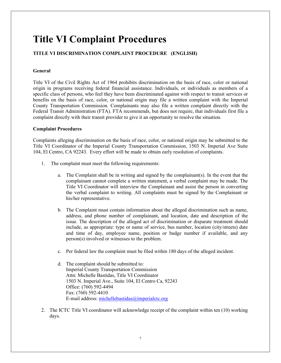# **Title VI Complaint Procedures**

### **TITLE VI DISCRIMINATION COMPLAINT PROCEDURE (ENGLISH)**

### **General**

Title VI of the Civil Rights Act of 1964 prohibits discrimination on the basis of race, color or national origin in programs receiving federal financial assistance. Individuals, or individuals as members of a specific class of persons, who feel they have been discriminated against with respect to transit services or benefits on the basis of race, color, or national origin may file a written complaint with the Imperial County Transportation Commission. Complainants may also file a written complaint directly with the Federal Transit Administration (FTA). FTA recommends, but does not require, that individuals first file a complaint directly with their transit provider to give it an opportunity to resolve the situation.

### **Complaint Procedures**

Complaints alleging discrimination on the basis of race, color, or national origin may be submitted to the Title VI Coordinator of the Imperial County Transportation Commission, 1503 N. Imperial Ave Suite 104, El Centro, CA 92243. Every effort will be made to obtain early resolution of complaints.

- 1. The complaint must meet the following requirements:
	- a. The Complaint shall be in writing and signed by the complainant(s). In the event that the complainant cannot complete a written statement, a verbal complaint may be made. The Title VI Coordinator will interview the Complainant and assist the person in converting the verbal complaint to writing. All complaints must be signed by the Complainant or his/her representative.
	- b. The Complaint must contain information about the alleged discrimination such as name, address, and phone number of complainant, and location, date and description of the issue. The description of the alleged act of discrimination or disparate treatment should include, as appropriate: type or name of service, bus number, location (city/streets) date and time of day, employee name, position or badge number if available, and any person(s) involved or witnesses to the problem.
	- c. Per federal law the complaint must be filed within 180 days of the alleged incident.
	- d. The complaint should be submitted to: Imperial County Transportation Commission Attn: Michelle Bastidas, Title VI Coordinator 1503 N. Imperial Ave., Suite 104, El Centro Ca, 92243 Office: (760) 592-4494 Fax: (760) 592-4410 E-mail address: [michellebastidas@imperialctc.org](mailto:michellebastidas@imperialctc.org)
- 2. The ICTC Title VI coordinator will acknowledge receipt of the complaint within ten (10) working days.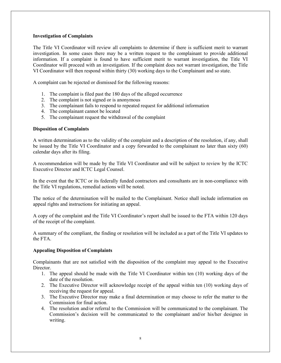### **Investigation of Complaints**

The Title VI Coordinator will review all complaints to determine if there is sufficient merit to warrant investigation. In some cases there may be a written request to the complainant to provide additional information. If a complaint is found to have sufficient merit to warrant investigation, the Title VI Coordinator will proceed with an investigation. If the complaint does not warrant investigation, the Title VI Coordinator will then respond within thirty (30) working days to the Complainant and so state.

A complaint can be rejected or dismissed for the following reasons:

- 1. The complaint is filed past the 180 days of the alleged occurrence
- 2. The complaint is not signed or is anonymous
- 3. The complainant fails to respond to repeated request for additional information
- 4. The complainant cannot be located
- 5. The complainant request the withdrawal of the complaint

#### **Disposition of Complaints**

A written determination as to the validity of the complaint and a description of the resolution, if any, shall be issued by the Title VI Coordinator and a copy forwarded to the complainant no later than sixty (60) calendar days after its filing.

A recommendation will be made by the Title VI Coordinator and will be subject to review by the ICTC Executive Director and ICTC Legal Counsel.

In the event that the ICTC or its federally funded contractors and consultants are in non-compliance with the Title VI regulations, remedial actions will be noted.

The notice of the determination will be mailed to the Complainant. Notice shall include information on appeal rights and instructions for initiating an appeal.

A copy of the complaint and the Title VI Coordinator's report shall be issued to the FTA within 120 days of the receipt of the complaint.

A summary of the compliant, the finding or resolution will be included as a part of the Title VI updates to the FTA.

#### **Appealing Disposition of Complaints**

Complainants that are not satisfied with the disposition of the complaint may appeal to the Executive Director.

- 1. The appeal should be made with the Title VI Coordinator within ten (10) working days of the date of the resolution.
- 2. The Executive Director will acknowledge receipt of the appeal within ten (10) working days of receiving the request for appeal.
- 3. The Executive Director may make a final determination or may choose to refer the matter to the Commission for final action.
- 4. The resolution and/or referral to the Commission will be communicated to the complainant. The Commission's decision will be communicated to the complainant and/or his/her designee in writing.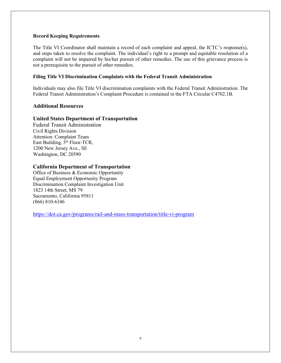#### **Record Keeping Requirements**

The Title VI Coordinator shall maintain a record of each complaint and appeal, the ICTC's response(s), and steps taken to resolve the complaint. The individual's right to a prompt and equitable resolution of a complaint will not be impaired by his/her pursuit of other remedies. The use of this grievance process is not a prerequisite to the pursuit of other remedies.

### **Filing Title VI Discrimination Complaints with the Federal Transit Administration**

Individuals may also file Title VI discrimination complaints with the Federal Transit Administration. The Federal Transit Administration's Complaint Procedure is contained in the FTA Circular C4702.1B.

### **Additional Resources**

### **United States Department of Transportation**

Federal Transit Administration Civil Rights Division Attention: Complaint Team East Building,  $5<sup>th</sup>$  Floor-TCR, 1200 New Jersey Ave., SE Washington, DC 20590

### **California Department of Transportation**

Office of Business & Economic Opportunity Equal Employment Opportunity Program Discrimination Complaint Investigation Unit 1823 14th Street, MS 79 Sacramento, California 95811 (866) 810-6346

<https://dot.ca.gov/programs/rail-and-mass-transportation/title-vi-program>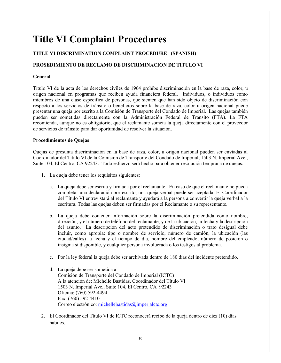## **Title VI Complaint Procedures**

### **TITLE VI DISCRIMINATION COMPLAINT PROCEDURE (SPANISH)**

### **PROSEDIMIENTO DE RECLAMO DE DISCRIMINACION DE TITULO VI**

#### **General**

Título VI de la acta de los derechos civiles de 1964 prohíbe discriminación en la base de raza, color, u origen nacional en programas que reciben ayuda financiera federal. Individuos, o individuos como miembros de una clase específica de personas, que sienten que han sido objeto de discriminación con respecto a los servicios de tránsito o beneficios sobre la base de raza, color u origen nacional puede presentar una queja por escrito a la Comisión de Transporte del Condado de Imperial. Las quejas también pueden ser sometidas directamente con la Administración Federal de Tránsito (FTA). La FTA recomienda, aunque no es obligatorio, que el reclamante someta la queja directamente con el proveedor de servicios de tránsito para dar oportunidad de resolver la situación.

#### **Procedimientos de Quejas**

Quejas de presunta discriminación en la base de raza, color, u origen nacional pueden ser enviadas al Coordinador del Título VI de la Comisión de Transporte del Condado de Imperial, 1503 N. Imperial Ave., Suite 104, El Centro, CA 92243. Todo esfuerzo será hecho para obtener resolución temprana de quejas.

- 1. La queja debe tener los requisitos siguientes:
	- a. La queja debe ser escrita y firmada por el reclamante. En caso de que el reclamante no pueda completar una declaración por escrito, una queja verbal puede ser aceptada. El Coordinador del Título VI entrevistará al reclamante y ayudará a la persona a convertir la queja verbal a la escritura. Todas las quejas deben ser firmadas por el Reclamante o su representante.
	- b. La queja debe contener información sobre la discriminación pretendida como nombre, dirección, y el número de teléfono del reclamante, y de la ubicación, la fecha y la descripción del asunto. La descripción del acto pretendido de discriminación o trato desigual debe incluir, como apropia: tipo o nombre de servicio, número de camión, la ubicación (las ciudad/calles) la fecha y el tiempo de día, nombre del empleado, número de posición o insignia si disponible, y cualquier persona involucrada o los testigos al problema.
	- c. Por la ley federal la queja debe ser archivada dentro de 180 días del incidente pretendido.
	- d. La queja debe ser sometida a: Comisión de Transporte del Condado de Imperial (ICTC) A la atención de: Michelle Bastidas, Coordinador del Título VI 1503 N. Imperial Ave., Suite 104, El Centro, CA 92243 Oficina: (760) 592-4494 Fax: (760) 592-4410 Correo electrónico: [michellebastidas@imperialctc.org](mailto:michellebastidas@imperialctc.org)
- 2. El Coordinador del Título VI de ICTC reconocerá recibo de la queja dentro de diez (10) días hábiles.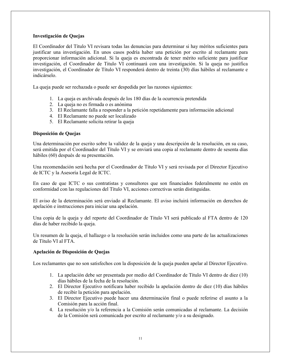#### **Investigación de Quejas**

El Coordinador del Título VI revisara todas las denuncias para determinar si hay méritos suficientes para justificar una investigación. En unos casos podría haber una petición por escrito al reclamante para proporcionar información adicional. Si la queja es encontrada de tener mérito suficiente para justificar investigación, el Coordinador de Titulo VI continuará con una investigación. Si la queja no justifica investigación, el Coordinador de Título VI responderá dentro de treinta (30) días hábiles al reclamante e indicárselo.

La queja puede ser rechazada o puede ser despedida por las razones siguientes:

- 1. La queja es archivada después de los 180 días de la ocurrencia pretendida
- 2. La queja no es firmada o es anónima
- 3. El Reclamante falla a responder a la petición repetidamente para información adicional
- 4. El Reclamante no puede ser localizado
- 5. El Reclamante solicita retirar la queja

### **Disposición de Quejas**

Una determinación por escrito sobre la validez de la queja y una descripción de la resolución, en su caso, será emitida por el Coordinador del Título VI y se enviará una copia al reclamante dentro de sesenta días hábiles (60) después de su presentación.

Una recomendación será hecha por el Coordinador de Título VI y será revisada por el Director Ejecutivo de ICTC y la Asesoría Legal de ICTC.

En caso de que ICTC o sus contratistas y consultores que son financiados federalmente no estén en conformidad con las regulaciones del Título VI, acciones correctivas serán distinguidas.

El aviso de la determinación será enviado al Reclamante. El aviso incluirá información en derechos de apelación e instrucciones para iniciar una apelación.

Una copia de la queja y del reporte del Coordinador de Titulo VI será publicado al FTA dentro de 120 días de haber recibido la queja.

Un resumen de la queja, el hallazgo o la resolución serán incluidos como una parte de las actualizaciones de Título VI al FTA.

### **Apelación de Disposición de Quejas**

Los reclamantes que no son satisfechos con la disposición de la queja pueden apelar al Director Ejecutivo.

- 1. La apelación debe ser presentada por medio del Coordinador de Título VI dentro de diez (10) días hábiles de la fecha de la resolución.
- 2. El Director Ejecutivo notificara haber recibido la apelación dentro de diez (10) días hábiles de recibir la petición para apelación.
- 3. El Director Ejecutivo puede hacer una determinación final o puede referirse el asunto a la Comisión para la acción final.
- 4. La resolución y/o la referencia a la Comisión serán comunicadas al reclamante. La decisión de la Comisión será comunicada por escrito al reclamante y/o a su designado.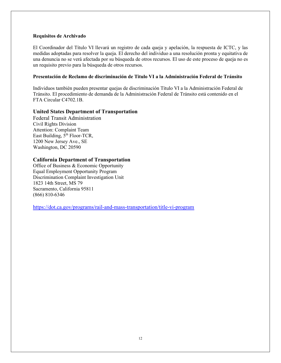#### **Requisitos de Archivado**

El Coordinador del Título VI llevará un registro de cada queja y apelación, la respuesta de ICTC, y las medidas adoptadas para resolver la queja. El derecho del individuo a una resolución pronta y equitativa de una denuncia no se verá afectada por su búsqueda de otros recursos. El uso de este proceso de queja no es un requisito previo para la búsqueda de otros recursos.

### **Presentación de Reclamo de discriminación de Titulo VI a la Administración Federal de Tránsito**

Individuos también pueden presentar quejas de discriminación Título VI a la Administración Federal de Tránsito. El procedimiento de demanda de la Administración Federal de Tránsito está contenido en el FTA Circular C4702.1B.

### **United States Department of Transportation**

Federal Transit Administration Civil Rights Division Attention: Complaint Team East Building,  $5^{th}$  Floor-TCR, 1200 New Jersey Ave., SE Washington, DC 20590

### **California Department of Transportation**

Office of Business & Economic Opportunity Equal Employment Opportunity Program Discrimination Complaint Investigation Unit 1823 14th Street, MS 79 Sacramento, California 95811 (866) 810-6346

<https://dot.ca.gov/programs/rail-and-mass-transportation/title-vi-program>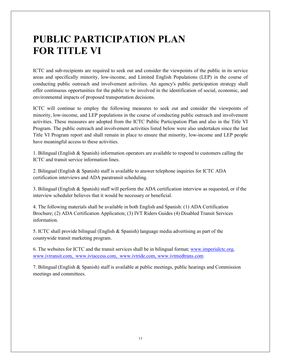## **PUBLIC PARTICIPATION PLAN FOR TITLE VI**

ICTC and sub-recipients are required to seek out and consider the viewpoints of the public in its service areas and specifically minority, low-income, and Limited English Populations (LEP) in the course of conducting public outreach and involvement activities. An agency's public participation strategy shall offer continuous opportunities for the public to be involved in the identification of social, economic, and environmental impacts of proposed transportation decisions.

ICTC will continue to employ the following measures to seek out and consider the viewpoints of minority, low-income, and LEP populations in the course of conducting public outreach and involvement activities. These measures are adopted from the ICTC Public Participation Plan and also in the Title VI Program. The public outreach and involvement activities listed below were also undertaken since the last Title VI Program report and shall remain in place to ensure that minority, low-income and LEP people have meaningful access to these activities.

1. Bilingual (English & Spanish) information operators are available to respond to customers calling the ICTC and transit service information lines.

2. Bilingual (English & Spanish) staff is available to answer telephone inquiries for ICTC ADA certification interviews and ADA paratransit scheduling.

3. Bilingual (English & Spanish) staff will perform the ADA certification interview as requested, or if the interview scheduler believes that it would be necessary or beneficial.

4. The following materials shall be available in both English and Spanish: (1) ADA Certification Brochure; (2) ADA Certification Application; (3) IVT Riders Guides (4) Disabled Transit Services information.

5. ICTC shall provide bilingual (English & Spanish) language media advertising as part of the countywide transit marketing program.

6. The websites for ICTC and the transit services shall be in bilingual format; [www.imperialctc.org,](http://www.imperialctc.org/) www.ivtransit.com, www.ivtaccess.com, [www.ivtride.com,](http://www.ivtride.com/) [www.ivtmedtrans.com](http://www.ivtmedtrans.com/)

7. Bilingual (English & Spanish) staff is available at public meetings, public hearings and Commission meetings and committees.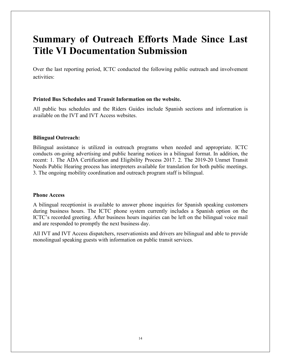### **Summary of Outreach Efforts Made Since Last Title VI Documentation Submission**

Over the last reporting period, ICTC conducted the following public outreach and involvement activities:

### **Printed Bus Schedules and Transit Information on the website.**

All public bus schedules and the Riders Guides include Spanish sections and information is available on the IVT and IVT Access websites.

### **Bilingual Outreach:**

Bilingual assistance is utilized in outreach programs when needed and appropriate. ICTC conducts on-going advertising and public hearing notices in a bilingual format. In addition, the recent: 1. The ADA Certification and Eligibility Process 2017. 2. The 2019-20 Unmet Transit Needs Public Hearing process has interpreters available for translation for both public meetings. 3. The ongoing mobility coordination and outreach program staff is bilingual.

### **Phone Access**

A bilingual receptionist is available to answer phone inquiries for Spanish speaking customers during business hours. The ICTC phone system currently includes a Spanish option on the ICTC's recorded greeting. After business hours inquiries can be left on the bilingual voice mail and are responded to promptly the next business day.

All IVT and IVT Access dispatchers, reservationists and drivers are bilingual and able to provide monolingual speaking guests with information on public transit services.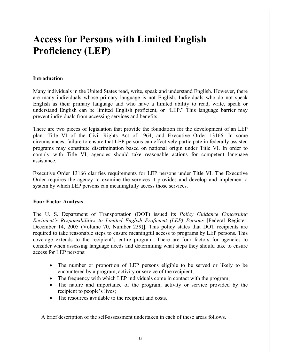# **Access for Persons with Limited English Proficiency (LEP)**

### **Introduction**

Many individuals in the United States read, write, speak and understand English. However, there are many individuals whose primary language is not English. Individuals who do not speak English as their primary language and who have a limited ability to read, write, speak or understand English can be limited English proficient, or "LEP." This language barrier may prevent individuals from accessing services and benefits.

There are two pieces of legislation that provide the foundation for the development of an LEP plan: Title VI of the Civil Rights Act of 1964, and Executive Order 13166. In some circumstances, failure to ensure that LEP persons can effectively participate in federally assisted programs may constitute discrimination based on national origin under Title VI. In order to comply with Title VI, agencies should take reasonable actions for competent language assistance.

Executive Order 13166 clarifies requirements for LEP persons under Title VI. The Executive Order requires the agency to examine the services it provides and develop and implement a system by which LEP persons can meaningfully access those services.

### **Four Factor Analysis**

The U. S. Department of Transportation (DOT) issued its *Policy Guidance Concerning Recipient's Responsibilities to Limited English Proficient (LEP) Persons* [Federal Register: December 14, 2005 (Volume 70, Number 239)]. This policy states that DOT recipients are required to take reasonable steps to ensure meaningful access to programs by LEP persons. This coverage extends to the recipient's entire program. There are four factors for agencies to consider when assessing language needs and determining what steps they should take to ensure access for LEP persons:

- The number or proportion of LEP persons eligible to be served or likely to be encountered by a program, activity or service of the recipient;
- The frequency with which LEP individuals come in contact with the program;
- The nature and importance of the program, activity or service provided by the recipient to people's lives;
- The resources available to the recipient and costs.

A brief description of the self-assessment undertaken in each of these areas follows.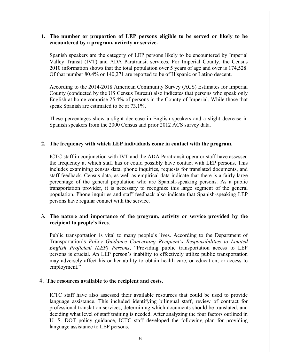### **1. The number or proportion of LEP persons eligible to be served or likely to be encountered by a program, activity or service.**

Spanish speakers are the category of LEP persons likely to be encountered by Imperial Valley Transit (IVT) and ADA Paratransit services. For Imperial County, the Census 2010 information shows that the total population over 5 years of age and over is 174,528. Of that number 80.4% or 140,271 are reported to be of Hispanic or Latino descent.

According to the 2014-2018 American Community Survey (ACS) Estimates for Imperial County (conducted by the US Census Bureau) also indicates that persons who speak only English at home comprise 25.4% of persons in the County of Imperial. While those that speak Spanish are estimated to be at 73.1%.

These percentages show a slight decrease in English speakers and a slight decrease in Spanish speakers from the 2000 Census and prior 2012 ACS survey data.

### **2. The frequency with which LEP individuals come in contact with the program.**

ICTC staff in conjunction with IVT and the ADA Paratransit operator staff have assessed the frequency at which staff has or could possibly have contact with LEP persons. This includes examining census data, phone inquiries, requests for translated documents, and staff feedback. Census data, as well as empirical data indicate that there is a fairly large percentage of the general population who are Spanish-speaking persons. As a public transportation provider, it is necessary to recognize this large segment of the general population. Phone inquiries and staff feedback also indicate that Spanish-speaking LEP persons have regular contact with the service.

### **3. The nature and importance of the program, activity or service provided by the recipient to people's lives**.

Public transportation is vital to many people's lives. According to the Department of Transportation's *Policy Guidance Concerning Recipient's Responsibilities to Limited English Proficient (LEP) Persons*, "Providing public transportation access to LEP persons is crucial. An LEP person's inability to effectively utilize public transportation may adversely affect his or her ability to obtain health care, or education, or access to employment."

### 4**. The resources available to the recipient and costs.**

ICTC staff have also assessed their available resources that could be used to provide language assistance. This included identifying bilingual staff, review of contract for professional translation services, determining which documents should be translated, and deciding what level of staff training is needed. After analyzing the four factors outlined in U. S. DOT policy guidance, ICTC staff developed the following plan for providing language assistance to LEP persons.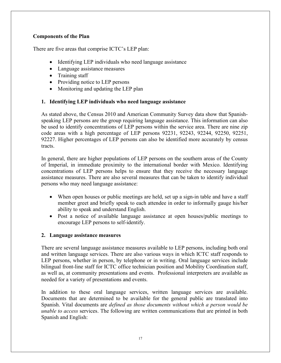### **Components of the Plan**

There are five areas that comprise ICTC's LEP plan:

- Identifying LEP individuals who need language assistance
- Language assistance measures
- Training staff
- Providing notice to LEP persons
- Monitoring and updating the LEP plan

### **1. Identifying LEP individuals who need language assistance**

As stated above, the Census 2010 and American Community Survey data show that Spanishspeaking LEP persons are the group requiring language assistance. This information can also be used to identify concentrations of LEP persons within the service area. There are nine zip code areas with a high percentage of LEP persons 92231, 92243, 92244, 92250, 92251, 92227. Higher percentages of LEP persons can also be identified more accurately by census tracts.

In general, there are higher populations of LEP persons on the southern areas of the County of Imperial, in immediate proximity to the international border with Mexico. Identifying concentrations of LEP persons helps to ensure that they receive the necessary language assistance measures. There are also several measures that can be taken to identify individual persons who may need language assistance:

- When open houses or public meetings are held, set up a sign-in table and have a staff member greet and briefly speak to each attendee in order to informally gauge his/her ability to speak and understand English.
- Post a notice of available language assistance at open houses/public meetings to encourage LEP persons to self-identify.

### **2. Language assistance measures**

There are several language assistance measures available to LEP persons, including both oral and written language services. There are also various ways in which ICTC staff responds to LEP persons, whether in person, by telephone or in writing. Oral language services include bilingual front-line staff for ICTC office technician position and Mobility Coordination staff, as well as, at community presentations and events. Professional interpreters are available as needed for a variety of presentations and events.

In addition to these oral language services, written language services are available. Documents that are determined to be available for the general public are translated into Spanish. Vital documents are *defined as those documents without which a person would be unable to access* services. The following are written communications that are printed in both Spanish and English: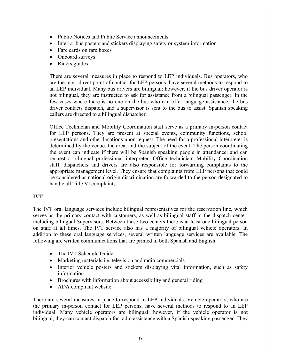- Public Notices and Public Service announcements
- Interior bus posters and stickers displaying safety or system information
- Fare cards on fare boxes
- Onboard surveys
- Riders guides

There are several measures in place to respond to LEP individuals. Bus operators, who are the most direct point of contact for LEP persons, have several methods to respond to an LEP individual. Many bus drivers are bilingual; however, if the bus driver operator is not bilingual, they are instructed to ask for assistance from a bilingual passenger. In the few cases where there is no one on the bus who can offer language assistance, the bus driver contacts dispatch, and a supervisor is sent to the bus to assist. Spanish speaking callers are directed to a bilingual dispatcher.

Office Technician and Mobility Coordination staff serve as a primary in-person contact for LEP persons. They are present at special events, community functions, school presentations and other locations upon request. The need for a professional interpreter is determined by the venue, the area, and the subject of the event. The person coordinating the event can indicate if there will be Spanish speaking people in attendance, and can request a bilingual professional interpreter. Office technician, Mobility Coordination staff, dispatchers and drivers are also responsible for forwarding complaints to the appropriate management level. They ensure that complaints from LEP persons that could be considered as national origin discrimination are forwarded to the person designated to handle all Title VI complaints.

### **IVT**

The IVT oral language services include bilingual representatives for the reservation line, which serves as the primary contact with customers, as well as bilingual staff in the dispatch center, including bilingual Supervisors. Between these two centers there is at least one bilingual person on staff at all times. The IVT service also has a majority of bilingual vehicle operators. In addition to these oral language services, several written language services are available. The following are written communications that are printed in both Spanish and English:

- The IVT Schedule Guide
- Marketing materials i.e. television and radio commercials
- Interior vehicle posters and stickers displaying vital information, such as safety information
- Brochures with information about accessibility and general riding
- ADA compliant website

There are several measures in place to respond to LEP individuals. Vehicle operators, who are the primary in-person contact for LEP persons, have several methods to respond to an LEP individual. Many vehicle operators are bilingual; however, if the vehicle operator is not bilingual, they can contact dispatch for radio assistance with a Spanish-speaking passenger. They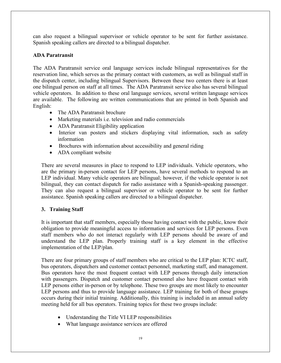can also request a bilingual supervisor or vehicle operator to be sent for further assistance. Spanish speaking callers are directed to a bilingual dispatcher.

### **ADA Paratransit**

The ADA Paratransit service oral language services include bilingual representatives for the reservation line, which serves as the primary contact with customers, as well as bilingual staff in the dispatch center, including bilingual Supervisors. Between these two centers there is at least one bilingual person on staff at all times. The ADA Paratransit service also has several bilingual vehicle operators. In addition to these oral language services, several written language services are available. The following are written communications that are printed in both Spanish and English:

- The ADA Paratransit brochure
- Marketing materials i.e. television and radio commercials
- ADA Paratransit Eligibility application
- Interior van posters and stickers displaying vital information, such as safety information
- Brochures with information about accessibility and general riding
- ADA compliant website

There are several measures in place to respond to LEP individuals. Vehicle operators, who are the primary in-person contact for LEP persons, have several methods to respond to an LEP individual. Many vehicle operators are bilingual; however, if the vehicle operator is not bilingual, they can contact dispatch for radio assistance with a Spanish-speaking passenger. They can also request a bilingual supervisor or vehicle operator to be sent for further assistance. Spanish speaking callers are directed to a bilingual dispatcher.

### **3. Training Staff**

It is important that staff members, especially those having contact with the public, know their obligation to provide meaningful access to information and services for LEP persons. Even staff members who do not interact regularly with LEP persons should be aware of and understand the LEP plan. Properly training staff is a key element in the effective implementation of the LEP/plan.

There are four primary groups of staff members who are critical to the LEP plan: ICTC staff, bus operators, dispatchers and customer contact personnel, marketing staff, and management. Bus operators have the most frequent contact with LEP persons through daily interaction with passengers. Dispatch and customer contact personnel also have frequent contact with LEP persons either in-person or by telephone. These two groups are most likely to encounter LEP persons and thus to provide language assistance. LEP training for both of these groups occurs during their initial training. Additionally, this training is included in an annual safety meeting held for all bus operators. Training topics for these two groups include:

- Understanding the Title VI LEP responsibilities
- What language assistance services are offered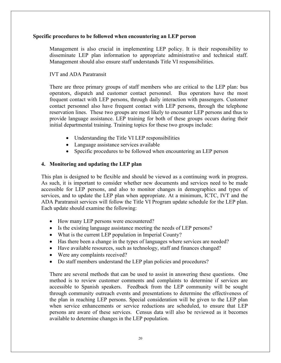### **Specific procedures to be followed when encountering an LEP person**

Management is also crucial in implementing LEP policy. It is their responsibility to disseminate LEP plan information to appropriate administrative and technical staff. Management should also ensure staff understands Title VI responsibilities.

IVT and ADA Paratransit

There are three primary groups of staff members who are critical to the LEP plan: bus operators, dispatch and customer contact personnel. Bus operators have the most frequent contact with LEP persons, through daily interaction with passengers. Customer contact personnel also have frequent contact with LEP persons, through the telephone reservation lines. These two groups are most likely to encounter LEP persons and thus to provide language assistance. LEP training for both of these groups occurs during their initial departmental training. Training topics for these two groups include:

- Understanding the Title VI LEP responsibilities
- Language assistance services available
- Specific procedures to be followed when encountering an LEP person

### **4. Monitoring and updating the LEP plan**

This plan is designed to be flexible and should be viewed as a continuing work in progress. As such, it is important to consider whether new documents and services need to be made accessible for LEP persons, and also to monitor changes in demographics and types of services, and to update the LEP plan when appropriate. At a minimum, ICTC, IVT and the ADA Paratransit services will follow the Title VI Program update schedule for the LEP plan. Each update should examine the following:

- How many LEP persons were encountered?
- Is the existing language assistance meeting the needs of LEP persons?
- What is the current LEP population in Imperial County?
- Has there been a change in the types of languages where services are needed?
- Have available resources, such as technology, staff and finances changed?
- Were any complaints received?
- Do staff members understand the LEP plan policies and procedures?

There are several methods that can be used to assist in answering these questions. One method is to review customer comments and complaints to determine if services are accessible to Spanish speakers. Feedback from the LEP community will be sought through community outreach events and presentations to determine the effectiveness of the plan in reaching LEP persons. Special consideration will be given to the LEP plan when service enhancements or service reductions are scheduled, to ensure that LEP persons are aware of these services. Census data will also be reviewed as it becomes available to determine changes in the LEP population.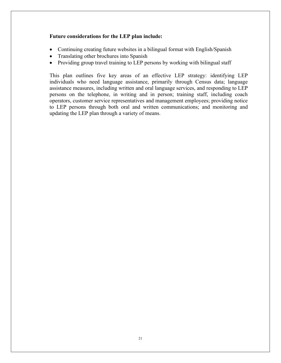### **Future considerations for the LEP plan include:**

- Continuing creating future websites in a bilingual format with English/Spanish
- Translating other brochures into Spanish
- Providing group travel training to LEP persons by working with bilingual staff

This plan outlines five key areas of an effective LEP strategy: identifying LEP individuals who need language assistance, primarily through Census data; language assistance measures, including written and oral language services, and responding to LEP persons on the telephone, in writing and in person; training staff, including coach operators, customer service representatives and management employees; providing notice to LEP persons through both oral and written communications; and monitoring and updating the LEP plan through a variety of means.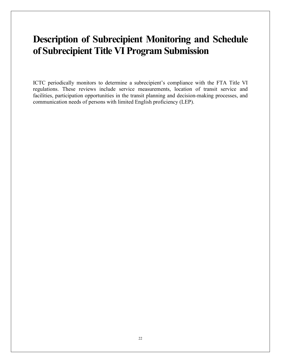## **Description of Subrecipient Monitoring and Schedule of Subrecipient Title VI Program Submission**

ICTC periodically monitors to determine a subrecipient's compliance with the FTA Title VI regulations. These reviews include service measurements, location of transit service and facilities, participation opportunities in the transit planning and decision-making processes, and communication needs of persons with limited English proficiency (LEP).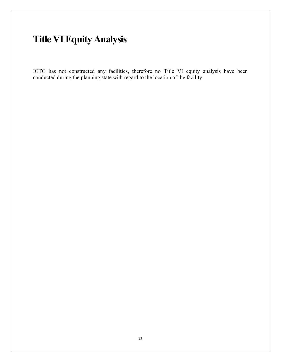# **Title VI Equity Analysis**

ICTC has not constructed any facilities, therefore no Title VI equity analysis have been conducted during the planning state with regard to the location of the facility.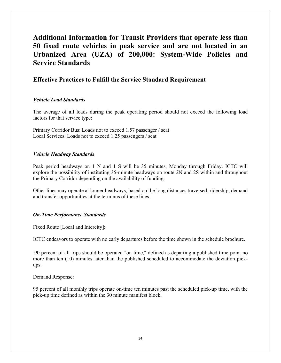### **Additional Information for Transit Providers that operate less than 50 fixed route vehicles in peak service and are not located in an Urbanized Area (UZA) of 200,000: System-Wide Policies and Service Standards**

### **Effective Practices to Fulfill the Service Standard Requirement**

### *Vehicle Load Standards*

The average of all loads during the peak operating period should not exceed the following load factors for that service type:

Primary Corridor Bus: Loads not to exceed 1.57 passenger / seat Local Services: Loads not to exceed 1.25 passengers / seat

### *Vehicle Headway Standards*

Peak period headways on 1 N and 1 S will be 35 minutes, Monday through Friday. ICTC will explore the possibility of instituting 35-minute headways on route 2N and 2S within and throughout the Primary Corridor depending on the availability of funding.

Other lines may operate at longer headways, based on the long distances traversed, ridership, demand and transfer opportunities at the terminus of these lines.

### *On-Time Performance Standards*

Fixed Route [Local and Intercity]:

ICTC endeavors to operate with no early departures before the time shown in the schedule brochure.

90 percent of all trips should be operated "on-time," defined as departing a published time-point no more than ten (10) minutes later than the published scheduled to accommodate the deviation pickups.

Demand Response:

95 percent of all monthly trips operate on-time ten minutes past the scheduled pick-up time, with the pick-up time defined as within the 30 minute manifest block.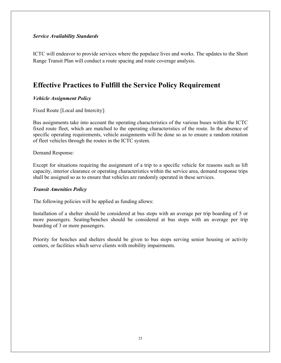### *Service Availability Standards*

ICTC will endeavor to provide services where the populace lives and works. The updates to the Short Range Transit Plan will conduct a route spacing and route coverage analysis.

### **Effective Practices to Fulfill the Service Policy Requirement**

### *Vehicle Assignment Policy*

Fixed Route [Local and Intercity]:

Bus assignments take into account the operating characteristics of the various buses within the ICTC fixed route fleet, which are matched to the operating characteristics of the route. In the absence of specific operating requirements, vehicle assignments will be done so as to ensure a random rotation of fleet vehicles through the routes in the ICTC system.

Demand Response:

Except for situations requiring the assignment of a trip to a specific vehicle for reasons such as lift capacity, interior clearance or operating characteristics within the service area, demand response trips shall be assigned so as to ensure that vehicles are randomly operated in these services.

### *Transit Amenities Policy*

The following policies will be applied as funding allows:

Installation of a shelter should be considered at bus stops with an average per trip boarding of 5 or more passengers. Seating/benches should be considered at bus stops with an average per trip boarding of 3 or more passengers.

Priority for benches and shelters should be given to bus stops serving senior housing or activity centers, or facilities which serve clients with mobility impairments.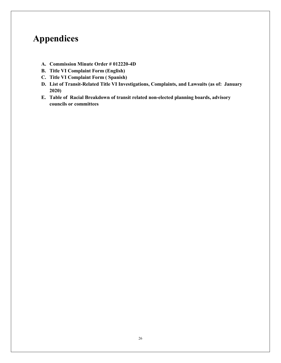### **Appendices**

- **A. Commission Minute Order # 012220-4D**
- **B. Title VI Complaint Form (English)**
- **C. Title VI Complaint Form ( Spanish)**
- **D. List of Transit-Related Title VI Investigations, Complaints, and Lawsuits (as of: January 2020)**
- **E. Table of Racial Breakdown of transit related non-elected planning boards, advisory councils or committees**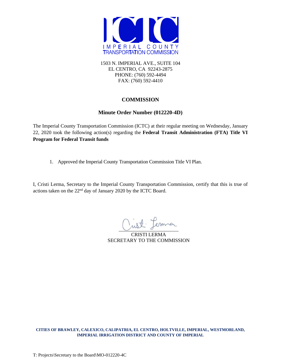

1503 N. IMPERIAL AVE., SUITE 104 EL CENTRO, CA 92243-2875 PHONE: (760) 592-4494 FAX: (760) 592-4410

### **COMMISSION**

### **Minute Order Number (012220-4D)**

The Imperial County Transportation Commission (ICTC) at their regular meeting on Wednesday, January 22, 2020 took the following action(s) regarding the **Federal Transit Administration (FTA) Title VI Program for Federal Transit funds**

1. Approved the Imperial County Transportation Commission Title VI Plan.

I, Cristi Lerma, Secretary to the Imperial County Transportation Commission, certify that this is true of actions taken on the 22nd day of January 2020 by the ICTC Board.

ist ferma

CRISTI LERMA SECRETARY TO THE COMMISSION

**CITIES OF BRAWLEY, CALEXICO, CALIPATRIA, EL CENTRO, HOLTVILLE, IMPERIAL, WESTMORLAND, IMPERIAL IRRIGATION DISTRICT AND COUNTY OF IMPERIAL**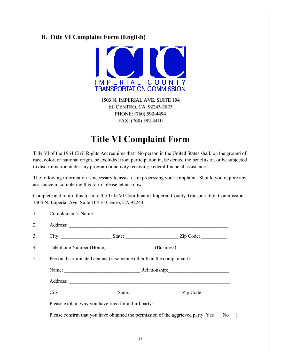### **B. Title VI Complaint Form (English)**



1503 N. IMPERIAL AVE. SUITE 104 EL CENTRO, CA 92243-2875 PHONE: (760) 592-4494 FAX: (760) 592-4410

### **Title VI Complaint Form**

Title VI of the 1964 Civil Rights Act requires that "No person in the United States shall, on the ground of race, color, or national origin, be excluded from participation in, be denied the benefits of, or be subjected to discrimination under any program or activity receiving Federal financial assistance."

The following information is necessary to assist us in processing your complaint. Should you require any assistance in completing this form, please let us know.

Complete and return this form to the Title VI Coordinator: Imperial County Transportation Commission, 1503 N. Imperial Ave. Suite 104 El Centro, CA 92243.

| 1. |                                                                                   | Complainant's Name                                                                                   |  |  |  |  |
|----|-----------------------------------------------------------------------------------|------------------------------------------------------------------------------------------------------|--|--|--|--|
| 2. |                                                                                   |                                                                                                      |  |  |  |  |
| 3. |                                                                                   | City: ___________________________State: _________________________________Zip Code: _________________ |  |  |  |  |
| 4. |                                                                                   | Telephone Number (Home): ___________________(Business): ________________________                     |  |  |  |  |
| 5. | Person discriminated against (if someone other than the complainant):             |                                                                                                      |  |  |  |  |
|    |                                                                                   |                                                                                                      |  |  |  |  |
|    |                                                                                   |                                                                                                      |  |  |  |  |
|    |                                                                                   |                                                                                                      |  |  |  |  |
|    | Please explain why you have filed for a third party: ____________________________ |                                                                                                      |  |  |  |  |
|    |                                                                                   | Please confirm that you have obtained the permission of the aggrieved party: $Yes \Box No \Box$      |  |  |  |  |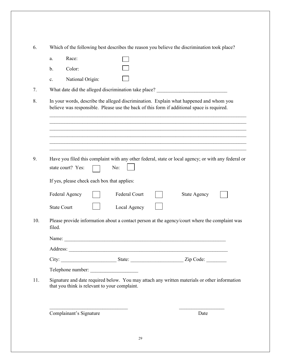|                | Which of the following best describes the reason you believe the discrimination took place?                                                                                          |  |  |  |  |  |  |
|----------------|--------------------------------------------------------------------------------------------------------------------------------------------------------------------------------------|--|--|--|--|--|--|
| a.             | Race:                                                                                                                                                                                |  |  |  |  |  |  |
| b.             | Color:                                                                                                                                                                               |  |  |  |  |  |  |
| $\mathbf{c}$ . | National Origin:                                                                                                                                                                     |  |  |  |  |  |  |
|                | What date did the alleged discrimination take place? ___________________________                                                                                                     |  |  |  |  |  |  |
|                | In your words, describe the alleged discrimination. Explain what happened and whom you<br>believe was responsible. Please use the back of this form if additional space is required. |  |  |  |  |  |  |
|                | Have you filed this complaint with any other federal, state or local agency; or with any federal or<br>No:<br>state court? Yes:                                                      |  |  |  |  |  |  |
|                | If yes, please check each box that applies:                                                                                                                                          |  |  |  |  |  |  |
|                | Federal Court<br>Federal Agency<br><b>State Agency</b>                                                                                                                               |  |  |  |  |  |  |
|                | Local Agency<br><b>State Court</b>                                                                                                                                                   |  |  |  |  |  |  |
| filed.         | Please provide information about a contact person at the agency/court where the complaint was                                                                                        |  |  |  |  |  |  |
|                | Name:                                                                                                                                                                                |  |  |  |  |  |  |
|                |                                                                                                                                                                                      |  |  |  |  |  |  |
|                |                                                                                                                                                                                      |  |  |  |  |  |  |
|                |                                                                                                                                                                                      |  |  |  |  |  |  |
|                | Signature and date required below. You may attach any written materials or other information<br>that you think is relevant to your complaint.                                        |  |  |  |  |  |  |
|                | Complainant's Signature<br>Date                                                                                                                                                      |  |  |  |  |  |  |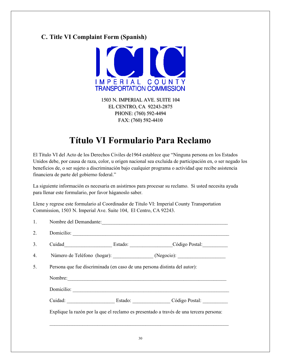### **C. Title VI Complaint Form (Spanish)**



1503 N. IMPERIAL AVE. SUITE 104 EL CENTRO, CA 92243-2875 PHONE: (760) 592-4494 FAX: (760) 592-4410

### **Título VI Formulario Para Reclamo**

El Título VI del Acto de los Derechos Civiles de1964 establece que "Ninguna persona en los Estados Unidos debe, por causa de raza, color, u origen nacional sea excluida de participación en, o ser negado los beneficios de, o ser sujeto a discriminación bajo cualquier programa o actividad que recibe asistencia financiera de parte del gobierno federal."

La siguiente información es necesaria en asistirnos para procesar su reclamo. Si usted necesita ayuda para llenar este formulario, por favor háganoslo saber.

Llene y regrese este formulario al Coordinador de Titulo VI: Imperial County Transportation Commission, 1503 N. Imperial Ave. Suite 104, El Centro, CA 92243.

| 1. | Nombre del Demandante:                                                    |  |                                                                                        |  |  |  |
|----|---------------------------------------------------------------------------|--|----------------------------------------------------------------------------------------|--|--|--|
| 2. |                                                                           |  |                                                                                        |  |  |  |
| 3. |                                                                           |  | Estado: Código Postal:                                                                 |  |  |  |
| 4. |                                                                           |  | Número de Teléfono (hogar): (Negocio): (2000).                                         |  |  |  |
| 5. | Persona que fue discriminada (en caso de una persona distinta del autor): |  |                                                                                        |  |  |  |
|    | Nombre:                                                                   |  |                                                                                        |  |  |  |
|    | Domicilio:                                                                |  |                                                                                        |  |  |  |
|    | Cuidad: Estado: Estado:                                                   |  | Código Postal:                                                                         |  |  |  |
|    |                                                                           |  | Explique la razón por la que el reclamo es presentado a través de una tercera persona: |  |  |  |
|    |                                                                           |  |                                                                                        |  |  |  |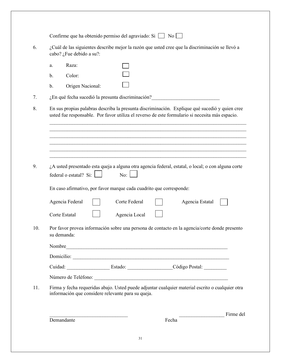|    |                          |                                                                     | ¿Cuál de las siguientes describe mejor la razón que usted cree que la discriminación se llevó a                                                                                                   |  |
|----|--------------------------|---------------------------------------------------------------------|---------------------------------------------------------------------------------------------------------------------------------------------------------------------------------------------------|--|
|    | cabo? ¿Fue debido a su?: |                                                                     |                                                                                                                                                                                                   |  |
| a. | Raza:                    |                                                                     |                                                                                                                                                                                                   |  |
| b. | Color:                   |                                                                     |                                                                                                                                                                                                   |  |
| b. | Origen Nacional:         |                                                                     |                                                                                                                                                                                                   |  |
|    |                          | ¿En qué fecha sucedió la presunta discriminación?                   |                                                                                                                                                                                                   |  |
|    |                          |                                                                     | En sus propias palabras describa la presunta discriminación. Explique qué sucedió y quien cree<br>usted fue responsable. Por favor utiliza el reverso de este formulario si necesita más espacio. |  |
|    |                          |                                                                     |                                                                                                                                                                                                   |  |
|    | federal o estatal? Si:   | No:                                                                 | ¿A usted presentado esta queja a alguna otra agencia federal, estatal, o local; o con alguna corte                                                                                                |  |
|    |                          | En caso afirmativo, por favor marque cada cuadrito que corresponde: |                                                                                                                                                                                                   |  |
|    | Agencia Federal          | Corte Federal                                                       | Agencia Estatal                                                                                                                                                                                   |  |
|    | Corte Estatal            | Agencia Local                                                       |                                                                                                                                                                                                   |  |
|    |                          |                                                                     | Por favor provea información sobre una persona de contacto en la agencia/corte donde presento                                                                                                     |  |
|    | su demanda:              |                                                                     |                                                                                                                                                                                                   |  |
|    |                          |                                                                     |                                                                                                                                                                                                   |  |
|    |                          |                                                                     | Nombre                                                                                                                                                                                            |  |
|    |                          |                                                                     |                                                                                                                                                                                                   |  |
|    |                          |                                                                     |                                                                                                                                                                                                   |  |
|    |                          | información que considere relevante para su queja.                  | Firma y fecha requeridas abajo. Usted puede adjuntar cualquier material escrito o cualquier otra                                                                                                  |  |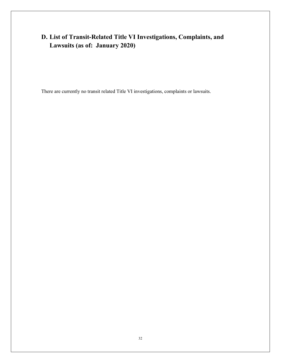### **D. List of Transit-Related Title VI Investigations, Complaints, and Lawsuits (as of: January 2020)**

There are currently no transit related Title VI investigations, complaints or lawsuits.